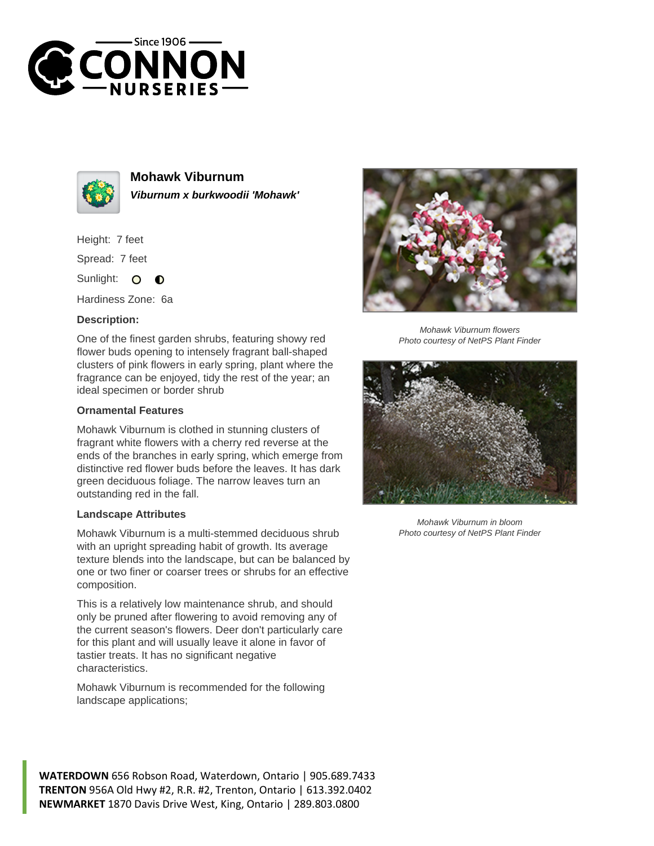



**Mohawk Viburnum Viburnum x burkwoodii 'Mohawk'**

Height: 7 feet

Spread: 7 feet

Sunlight: O  $\bullet$ 

Hardiness Zone: 6a

## **Description:**

One of the finest garden shrubs, featuring showy red flower buds opening to intensely fragrant ball-shaped clusters of pink flowers in early spring, plant where the fragrance can be enjoyed, tidy the rest of the year; an ideal specimen or border shrub

## **Ornamental Features**

Mohawk Viburnum is clothed in stunning clusters of fragrant white flowers with a cherry red reverse at the ends of the branches in early spring, which emerge from distinctive red flower buds before the leaves. It has dark green deciduous foliage. The narrow leaves turn an outstanding red in the fall.

## **Landscape Attributes**

Mohawk Viburnum is a multi-stemmed deciduous shrub with an upright spreading habit of growth. Its average texture blends into the landscape, but can be balanced by one or two finer or coarser trees or shrubs for an effective composition.

This is a relatively low maintenance shrub, and should only be pruned after flowering to avoid removing any of the current season's flowers. Deer don't particularly care for this plant and will usually leave it alone in favor of tastier treats. It has no significant negative characteristics.

Mohawk Viburnum is recommended for the following landscape applications;



Mohawk Viburnum flowers Photo courtesy of NetPS Plant Finder



Mohawk Viburnum in bloom Photo courtesy of NetPS Plant Finder

**WATERDOWN** 656 Robson Road, Waterdown, Ontario | 905.689.7433 **TRENTON** 956A Old Hwy #2, R.R. #2, Trenton, Ontario | 613.392.0402 **NEWMARKET** 1870 Davis Drive West, King, Ontario | 289.803.0800